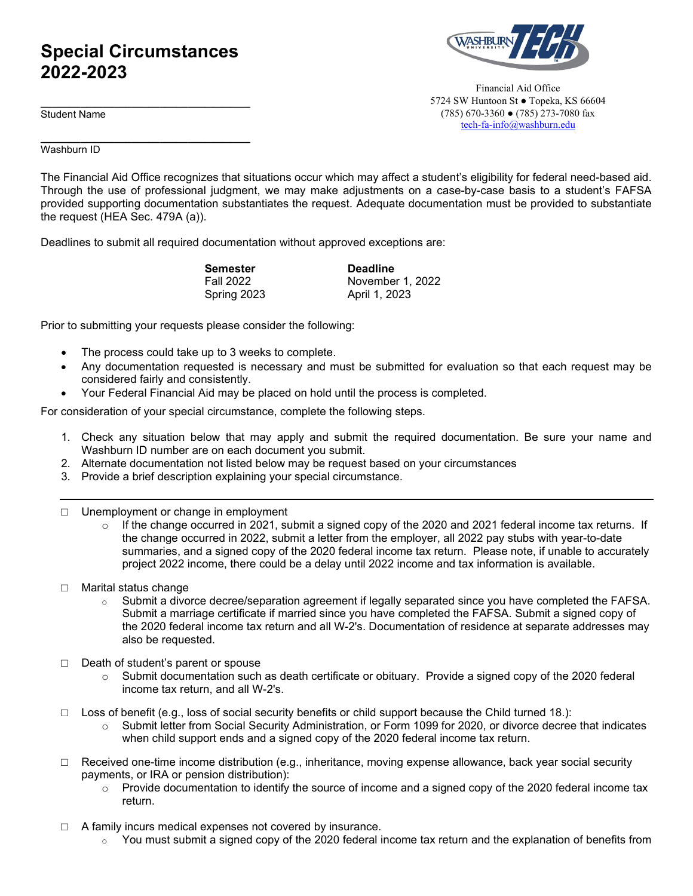## **Special Circumstances 2022-2023**



Financial Aid Office 5724 SW Huntoon St ● Topeka, KS 66604 (785) 670-3360 ● (785) 273-7080 fax [tech-fa-info@washburn.edu](mailto:tech-fa-info@washburn.edu)

**\_\_\_\_\_\_\_\_\_\_\_\_\_\_\_\_\_\_\_\_\_\_\_\_\_\_\_\_\_\_\_\_\_\_\_\_\_** Student Name

**\_\_\_\_\_\_\_\_\_\_\_\_\_\_\_\_\_\_\_\_\_\_\_\_\_\_\_\_\_\_\_\_\_\_\_\_\_** Washburn ID

The Financial Aid Office recognizes that situations occur which may affect a student's eligibility for federal need-based aid. Through the use of professional judgment, we may make adjustments on a case-by-case basis to a student's FAFSA provided supporting documentation substantiates the request. Adequate documentation must be provided to substantiate the request (HEA Sec. 479A (a)).

Deadlines to submit all required documentation without approved exceptions are:

**Semester Deadline**<br> **Pall 2022 Novembe** November 1, 2022 Spring 2023 April 1, 2023

Prior to submitting your requests please consider the following:

- The process could take up to 3 weeks to complete.
- Any documentation requested is necessary and must be submitted for evaluation so that each request may be considered fairly and consistently.
- Your Federal Financial Aid may be placed on hold until the process is completed.

For consideration of your special circumstance, complete the following steps.

- 1. Check any situation below that may apply and submit the required documentation. Be sure your name and Washburn ID number are on each document you submit.
- 2. Alternate documentation not listed below may be request based on your circumstances
- 3. Provide a brief description explaining your special circumstance.
- □ Unemployment or change in employment
	- $\circ$  If the change occurred in 2021, submit a signed copy of the 2020 and 2021 federal income tax returns. If the change occurred in 2022, submit a letter from the employer, all 2022 pay stubs with year-to-date summaries, and a signed copy of the 2020 federal income tax return. Please note, if unable to accurately project 2022 income, there could be a delay until 2022 income and tax information is available.
- □ Marital status change
	- $\circ$  Submit a divorce decree/separation agreement if legally separated since you have completed the FAFSA. Submit a marriage certificate if married since you have completed the FAFSA. Submit a signed copy of the 2020 federal income tax return and all W-2's. Documentation of residence at separate addresses may also be requested.
- □ Death of student's parent or spouse<br>○ Submit documentation such
	- Submit documentation such as death certificate or obituary. Provide a signed copy of the 2020 federal income tax return, and all W-2's.
- □ Loss of benefit (e.g., loss of social security benefits or child support because the Child turned 18.):
	- Submit letter from Social Security Administration, or Form 1099 for 2020, or divorce decree that indicates when child support ends and a signed copy of the 2020 federal income tax return.
- □ Received one-time income distribution (e.g., inheritance, moving expense allowance, back year social security payments, or IRA or pension distribution):
	- $\circ$  Provide documentation to identify the source of income and a signed copy of the 2020 federal income tax return.
- $\Box$  A family incurs medical expenses not covered by insurance.
	- $\circ$  You must submit a signed copy of the 2020 federal income tax return and the explanation of benefits from